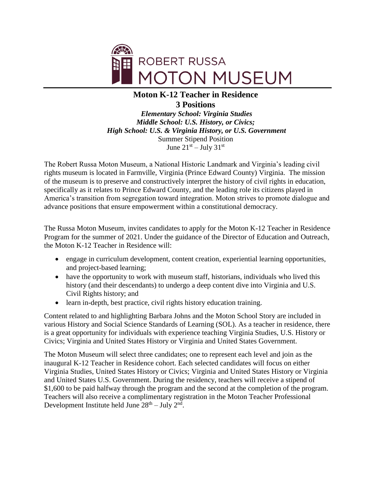

## **Moton K-12 Teacher in Residence 3 Positions**

*Elementary School: Virginia Studies Middle School: U.S. History, or Civics; High School: U.S. & Virginia History, or U.S. Government* Summer Stipend Position June  $21<sup>st</sup> - July 31<sup>st</sup>$ 

The Robert Russa Moton Museum, a National Historic Landmark and Virginia's leading civil rights museum is located in Farmville, Virginia (Prince Edward County) Virginia. The mission of the museum is to preserve and constructively interpret the history of civil rights in education, specifically as it relates to Prince Edward County, and the leading role its citizens played in America's transition from segregation toward integration. Moton strives to promote dialogue and advance positions that ensure empowerment within a constitutional democracy.

The Russa Moton Museum, invites candidates to apply for the Moton K-12 Teacher in Residence Program for the summer of 2021. Under the guidance of the Director of Education and Outreach, the Moton K-12 Teacher in Residence will:

- engage in curriculum development, content creation, experiential learning opportunities, and project-based learning;
- have the opportunity to work with museum staff, historians, individuals who lived this history (and their descendants) to undergo a deep content dive into Virginia and U.S. Civil Rights history; and
- learn in-depth, best practice, civil rights history education training.

Content related to and highlighting Barbara Johns and the Moton School Story are included in various History and Social Science Standards of Learning (SOL). As a teacher in residence, there is a great opportunity for individuals with experience teaching Virginia Studies, U.S. History or Civics; Virginia and United States History or Virginia and United States Government.

The Moton Museum will select three candidates; one to represent each level and join as the inaugural K-12 Teacher in Residence cohort. Each selected candidates will focus on either Virginia Studies, United States History or Civics; Virginia and United States History or Virginia and United States U.S. Government. During the residency, teachers will receive a stipend of \$1,600 to be paid halfway through the program and the second at the completion of the program. Teachers will also receive a complimentary registration in the Moton Teacher Professional Development Institute held June  $28<sup>th</sup> - July 2<sup>nd</sup>$ .